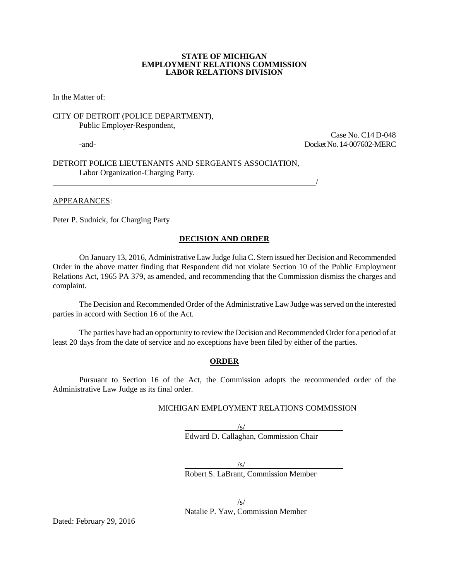#### **STATE OF MICHIGAN EMPLOYMENT RELATIONS COMMISSION LABOR RELATIONS DIVISION**

In the Matter of:

CITY OF DETROIT (POLICE DEPARTMENT), Public Employer-Respondent,

 Case No. C14 D-048 -and- Docket No. 14-007602-MERC

DETROIT POLICE LIEUTENANTS AND SERGEANTS ASSOCIATION, Labor Organization-Charging Party.

\_\_\_\_\_\_\_\_\_\_\_\_\_\_\_\_\_\_\_\_\_\_\_\_\_\_\_\_\_\_\_\_\_\_\_\_\_\_\_\_\_\_\_\_\_\_\_\_\_\_\_\_\_\_\_\_\_\_\_\_\_\_\_\_\_/

APPEARANCES:

Peter P. Sudnick, for Charging Party

#### **DECISION AND ORDER**

On January 13, 2016, Administrative Law Judge Julia C. Stern issued her Decision and Recommended Order in the above matter finding that Respondent did not violate Section 10 of the Public Employment Relations Act, 1965 PA 379, as amended, and recommending that the Commission dismiss the charges and complaint.

The Decision and Recommended Order of the Administrative Law Judge was served on the interested parties in accord with Section 16 of the Act.

The parties have had an opportunity to review the Decision and Recommended Order for a period of at least 20 days from the date of service and no exceptions have been filed by either of the parties.

#### **ORDER**

Pursuant to Section 16 of the Act, the Commission adopts the recommended order of the Administrative Law Judge as its final order.

#### MICHIGAN EMPLOYMENT RELATIONS COMMISSION

/s/ Edward D. Callaghan, Commission Chair

/s/

Robert S. LaBrant, Commission Member

 $\sqrt{s/2}$ Natalie P. Yaw, Commission Member

Dated: February 29, 2016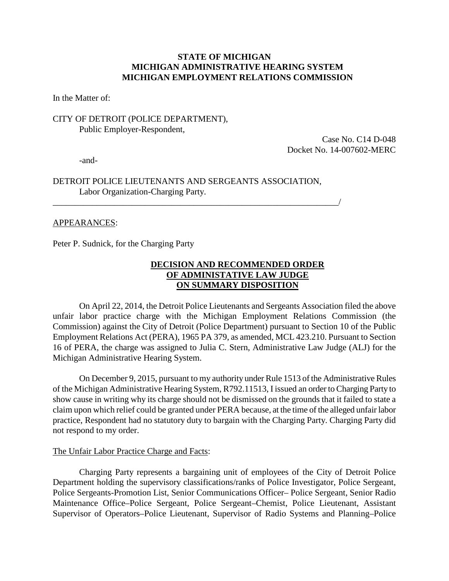# **STATE OF MICHIGAN MICHIGAN ADMINISTRATIVE HEARING SYSTEM MICHIGAN EMPLOYMENT RELATIONS COMMISSION**

In the Matter of:

# CITY OF DETROIT (POLICE DEPARTMENT), Public Employer-Respondent,

Case No. C14 D-048 Docket No. 14-007602-MERC

-and-

# DETROIT POLICE LIEUTENANTS AND SERGEANTS ASSOCIATION, Labor Organization-Charging Party.

\_\_\_\_\_\_\_\_\_\_\_\_\_\_\_\_\_\_\_\_\_\_\_\_\_\_\_\_\_\_\_\_\_\_\_\_\_\_\_\_\_\_\_\_\_\_\_\_\_\_\_\_\_\_\_\_\_\_\_\_\_\_\_\_\_/

### APPEARANCES:

Peter P. Sudnick, for the Charging Party

# **DECISION AND RECOMMENDED ORDER OF ADMINISTATIVE LAW JUDGE ON SUMMARY DISPOSITION**

On April 22, 2014, the Detroit Police Lieutenants and Sergeants Association filed the above unfair labor practice charge with the Michigan Employment Relations Commission (the Commission) against the City of Detroit (Police Department) pursuant to Section 10 of the Public Employment Relations Act (PERA), 1965 PA 379, as amended, MCL 423.210. Pursuant to Section 16 of PERA, the charge was assigned to Julia C. Stern, Administrative Law Judge (ALJ) for the Michigan Administrative Hearing System.

On December 9, 2015, pursuant to my authority under Rule 1513 of the Administrative Rules of the Michigan Administrative Hearing System, R792.11513, I issued an order to Charging Party to show cause in writing why its charge should not be dismissed on the grounds that it failed to state a claim upon which relief could be granted under PERA because, at the time of the alleged unfair labor practice, Respondent had no statutory duty to bargain with the Charging Party. Charging Party did not respond to my order.

### The Unfair Labor Practice Charge and Facts:

Charging Party represents a bargaining unit of employees of the City of Detroit Police Department holding the supervisory classifications/ranks of Police Investigator, Police Sergeant, Police Sergeants-Promotion List, Senior Communications Officer– Police Sergeant, Senior Radio Maintenance Office–Police Sergeant, Police Sergeant–Chemist, Police Lieutenant, Assistant Supervisor of Operators–Police Lieutenant, Supervisor of Radio Systems and Planning–Police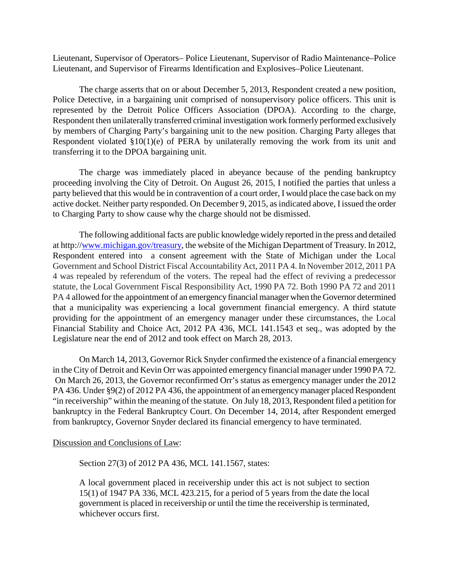Lieutenant, Supervisor of Operators– Police Lieutenant, Supervisor of Radio Maintenance–Police Lieutenant, and Supervisor of Firearms Identification and Explosives–Police Lieutenant.

The charge asserts that on or about December 5, 2013, Respondent created a new position, Police Detective, in a bargaining unit comprised of nonsupervisory police officers. This unit is represented by the Detroit Police Officers Association (DPOA). According to the charge, Respondent then unilaterally transferred criminal investigation work formerly performed exclusively by members of Charging Party's bargaining unit to the new position. Charging Party alleges that Respondent violated §10(1)(e) of PERA by unilaterally removing the work from its unit and transferring it to the DPOA bargaining unit.

The charge was immediately placed in abeyance because of the pending bankruptcy proceeding involving the City of Detroit. On August 26, 2015, I notified the parties that unless a party believed that this would be in contravention of a court order, I would place the case back on my active docket. Neither party responded. On December 9, 2015, as indicated above, I issued the order to Charging Party to show cause why the charge should not be dismissed.

The following additional facts are public knowledge widely reported in the press and detailed at http:/[/www.michigan.gov/treasury,](http://www.michigan.gov/treasury) the website of the Michigan Department of Treasury. In 2012, Respondent entered into a consent agreement with the State of Michigan under the Local Government and School District Fiscal Accountability Act, 2011 PA 4. In November 2012, 2011 PA 4 was repealed by referendum of the voters. The repeal had the effect of reviving a predecessor statute, the Local Government Fiscal Responsibility Act, 1990 PA 72. Both 1990 PA 72 and 2011 PA 4 allowed for the appointment of an emergency financial manager when the Governor determined that a municipality was experiencing a local government financial emergency. A third statute providing for the appointment of an emergency manager under these circumstances, the Local Financial Stability and Choice Act, 2012 PA 436, MCL 141.1543 et seq., was adopted by the Legislature near the end of 2012 and took effect on March 28, 2013.

On March 14, 2013, Governor Rick Snyder confirmed the existence of a financial emergency in the City of Detroit and Kevin Orr was appointed emergency financial manager under 1990 PA 72. On March 26, 2013, the Governor reconfirmed Orr's status as emergency manager under the 2012 PA 436. Under §9(2) of 2012 PA 436, the appointment of an emergency manager placed Respondent "in receivership" within the meaning of the statute. On July 18, 2013, Respondent filed a petition for bankruptcy in the Federal Bankruptcy Court. On December 14, 2014, after Respondent emerged from bankruptcy, Governor Snyder declared its financial emergency to have terminated.

Discussion and Conclusions of Law:

Section 27(3) of 2012 PA 436, MCL 141.1567, states:

A local government placed in receivership under this act is not subject to section 15(1) of 1947 PA 336, MCL 423.215, for a period of 5 years from the date the local government is placed in receivership or until the time the receivership is terminated, whichever occurs first.